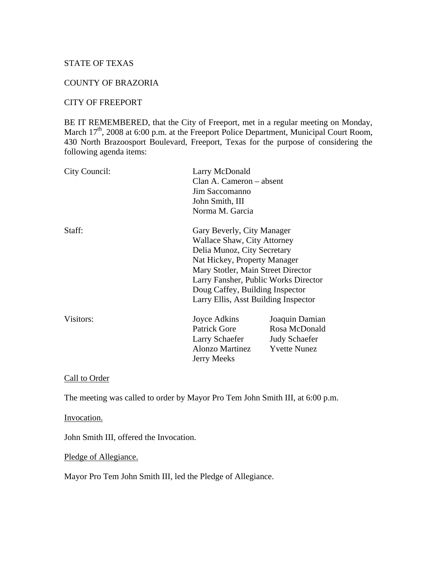### STATE OF TEXAS

# COUNTY OF BRAZORIA

#### CITY OF FREEPORT

BE IT REMEMBERED, that the City of Freeport, met in a regular meeting on Monday, March 17<sup>th</sup>, 2008 at 6:00 p.m. at the Freeport Police Department, Municipal Court Room, 430 North Brazoosport Boulevard, Freeport, Texas for the purpose of considering the following agenda items:

| City Council:                        | Larry McDonald<br>Clan A. Cameron – absent<br>Jim Saccomanno<br>John Smith, III<br>Norma M. Garcia |                      |        |                            |
|--------------------------------------|----------------------------------------------------------------------------------------------------|----------------------|--------|----------------------------|
|                                      |                                                                                                    |                      |        |                            |
|                                      |                                                                                                    |                      |        |                            |
|                                      |                                                                                                    |                      | Staff: | Gary Beverly, City Manager |
| <b>Wallace Shaw, City Attorney</b>   |                                                                                                    |                      |        |                            |
| Delia Munoz, City Secretary          |                                                                                                    |                      |        |                            |
| Nat Hickey, Property Manager         |                                                                                                    |                      |        |                            |
| Mary Stotler, Main Street Director   |                                                                                                    |                      |        |                            |
| Larry Fansher, Public Works Director |                                                                                                    |                      |        |                            |
| Doug Caffey, Building Inspector      |                                                                                                    |                      |        |                            |
| Larry Ellis, Asst Building Inspector |                                                                                                    |                      |        |                            |
| Visitors:                            | Joyce Adkins                                                                                       | Joaquin Damian       |        |                            |
|                                      | <b>Patrick Gore</b>                                                                                | Rosa McDonald        |        |                            |
|                                      | Larry Schaefer                                                                                     | <b>Judy Schaefer</b> |        |                            |
|                                      | <b>Alonzo Martinez</b>                                                                             | <b>Yvette Nunez</b>  |        |                            |
|                                      | <b>Jerry Meeks</b>                                                                                 |                      |        |                            |

# Call to Order

The meeting was called to order by Mayor Pro Tem John Smith III, at 6:00 p.m.

Invocation.

John Smith III, offered the Invocation.

Pledge of Allegiance.

Mayor Pro Tem John Smith III, led the Pledge of Allegiance.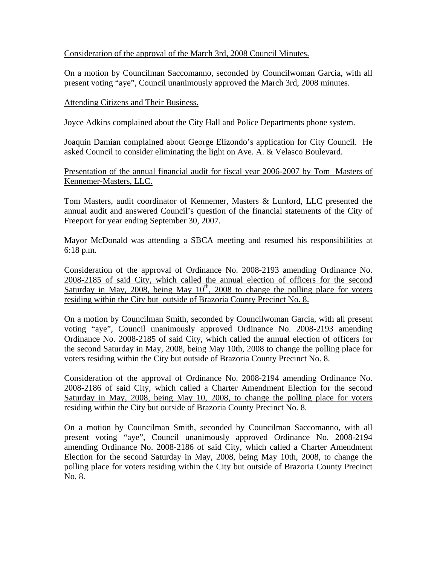## Consideration of the approval of the March 3rd, 2008 Council Minutes.

On a motion by Councilman Saccomanno, seconded by Councilwoman Garcia, with all present voting "aye", Council unanimously approved the March 3rd, 2008 minutes.

### Attending Citizens and Their Business.

Joyce Adkins complained about the City Hall and Police Departments phone system.

Joaquin Damian complained about George Elizondo's application for City Council. He asked Council to consider eliminating the light on Ave. A. & Velasco Boulevard.

Presentation of the annual financial audit for fiscal year 2006-2007 by Tom Masters of Kennemer-Masters, LLC.

Tom Masters, audit coordinator of Kennemer, Masters & Lunford, LLC presented the annual audit and answered Council's question of the financial statements of the City of Freeport for year ending September 30, 2007.

Mayor McDonald was attending a SBCA meeting and resumed his responsibilities at 6:18 p.m.

Consideration of the approval of Ordinance No. 2008-2193 amending Ordinance No. 2008-2185 of said City, which called the annual election of officers for the second Saturday in May, 2008, being May  $10^{th}$ , 2008 to change the polling place for voters residing within the City but outside of Brazoria County Precinct No. 8.

On a motion by Councilman Smith, seconded by Councilwoman Garcia, with all present voting "aye", Council unanimously approved Ordinance No. 2008-2193 amending Ordinance No. 2008-2185 of said City, which called the annual election of officers for the second Saturday in May, 2008, being May 10th, 2008 to change the polling place for voters residing within the City but outside of Brazoria County Precinct No. 8.

Consideration of the approval of Ordinance No. 2008-2194 amending Ordinance No. 2008-2186 of said City, which called a Charter Amendment Election for the second Saturday in May, 2008, being May 10, 2008, to change the polling place for voters residing within the City but outside of Brazoria County Precinct No. 8.

On a motion by Councilman Smith, seconded by Councilman Saccomanno, with all present voting "aye", Council unanimously approved Ordinance No. 2008-2194 amending Ordinance No. 2008-2186 of said City, which called a Charter Amendment Election for the second Saturday in May, 2008, being May 10th, 2008, to change the polling place for voters residing within the City but outside of Brazoria County Precinct No. 8.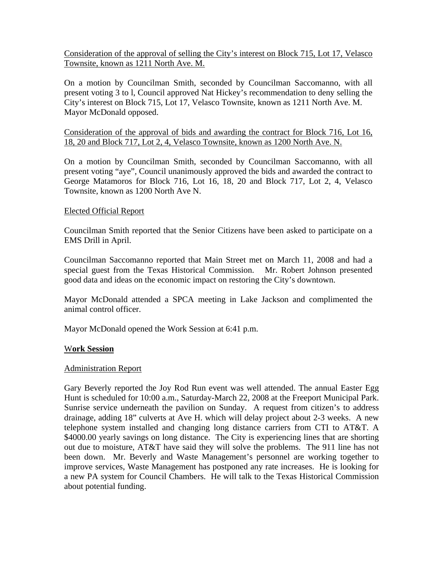Consideration of the approval of selling the City's interest on Block 715, Lot 17, Velasco Townsite, known as 1211 North Ave. M.

On a motion by Councilman Smith, seconded by Councilman Saccomanno, with all present voting 3 to l, Council approved Nat Hickey's recommendation to deny selling the City's interest on Block 715, Lot 17, Velasco Townsite, known as 1211 North Ave. M. Mayor McDonald opposed.

Consideration of the approval of bids and awarding the contract for Block 716, Lot 16, 18, 20 and Block 717, Lot 2, 4, Velasco Townsite, known as 1200 North Ave. N.

On a motion by Councilman Smith, seconded by Councilman Saccomanno, with all present voting "aye", Council unanimously approved the bids and awarded the contract to George Matamoros for Block 716, Lot 16, 18, 20 and Block 717, Lot 2, 4, Velasco Townsite, known as 1200 North Ave N.

### Elected Official Report

Councilman Smith reported that the Senior Citizens have been asked to participate on a EMS Drill in April.

Councilman Saccomanno reported that Main Street met on March 11, 2008 and had a special guest from the Texas Historical Commission. Mr. Robert Johnson presented good data and ideas on the economic impact on restoring the City's downtown.

Mayor McDonald attended a SPCA meeting in Lake Jackson and complimented the animal control officer.

Mayor McDonald opened the Work Session at 6:41 p.m.

### W**ork Session**

### Administration Report

Gary Beverly reported the Joy Rod Run event was well attended. The annual Easter Egg Hunt is scheduled for 10:00 a.m., Saturday-March 22, 2008 at the Freeport Municipal Park. Sunrise service underneath the pavilion on Sunday. A request from citizen's to address drainage, adding 18" culverts at Ave H. which will delay project about 2-3 weeks. A new telephone system installed and changing long distance carriers from CTI to AT&T. A \$4000.00 yearly savings on long distance. The City is experiencing lines that are shorting out due to moisture, AT&T have said they will solve the problems. The 911 line has not been down. Mr. Beverly and Waste Management's personnel are working together to improve services, Waste Management has postponed any rate increases. He is looking for a new PA system for Council Chambers. He will talk to the Texas Historical Commission about potential funding.